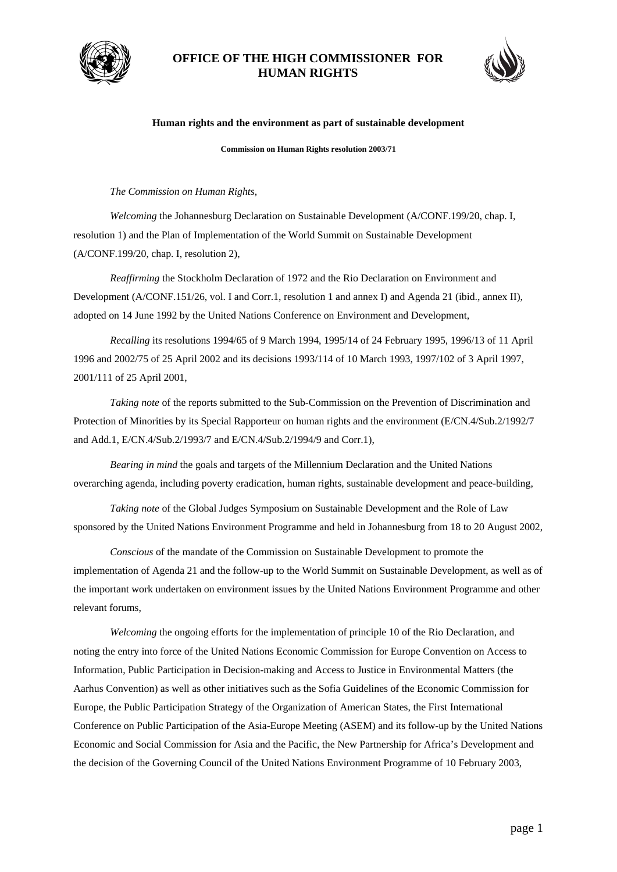

## **OFFICE OF THE HIGH COMMISSIONER FOR HUMAN RIGHTS**



## **Human rights and the environment as part of sustainable development**

**Commission on Human Rights resolution 2003/71** 

## *The Commission on Human Rights*,

 *Welcoming* the Johannesburg Declaration on Sustainable Development (A/CONF.199/20, chap. I, resolution 1) and the Plan of Implementation of the World Summit on Sustainable Development (A/CONF.199/20, chap. I, resolution 2),

 *Reaffirming* the Stockholm Declaration of 1972 and the Rio Declaration on Environment and Development (A/CONF.151/26, vol. I and Corr.1, resolution 1 and annex I) and Agenda 21 (ibid., annex II), adopted on 14 June 1992 by the United Nations Conference on Environment and Development,

 *Recalling* its resolutions 1994/65 of 9 March 1994, 1995/14 of 24 February 1995, 1996/13 of 11 April 1996 and 2002/75 of 25 April 2002 and its decisions 1993/114 of 10 March 1993, 1997/102 of 3 April 1997, 2001/111 of 25 April 2001,

 *Taking note* of the reports submitted to the Sub-Commission on the Prevention of Discrimination and Protection of Minorities by its Special Rapporteur on human rights and the environment (E/CN.4/Sub.2/1992/7 and Add.1, E/CN.4/Sub.2/1993/7 and E/CN.4/Sub.2/1994/9 and Corr.1),

 *Bearing in mind* the goals and targets of the Millennium Declaration and the United Nations overarching agenda, including poverty eradication, human rights, sustainable development and peace-building,

 *Taking note* of the Global Judges Symposium on Sustainable Development and the Role of Law sponsored by the United Nations Environment Programme and held in Johannesburg from 18 to 20 August 2002,

 *Conscious* of the mandate of the Commission on Sustainable Development to promote the implementation of Agenda 21 and the follow-up to the World Summit on Sustainable Development, as well as of the important work undertaken on environment issues by the United Nations Environment Programme and other relevant forums,

 *Welcoming* the ongoing efforts for the implementation of principle 10 of the Rio Declaration, and noting the entry into force of the United Nations Economic Commission for Europe Convention on Access to Information, Public Participation in Decision-making and Access to Justice in Environmental Matters (the Aarhus Convention) as well as other initiatives such as the Sofia Guidelines of the Economic Commission for Europe, the Public Participation Strategy of the Organization of American States, the First International Conference on Public Participation of the Asia-Europe Meeting (ASEM) and its follow-up by the United Nations Economic and Social Commission for Asia and the Pacific, the New Partnership for Africa's Development and the decision of the Governing Council of the United Nations Environment Programme of 10 February 2003,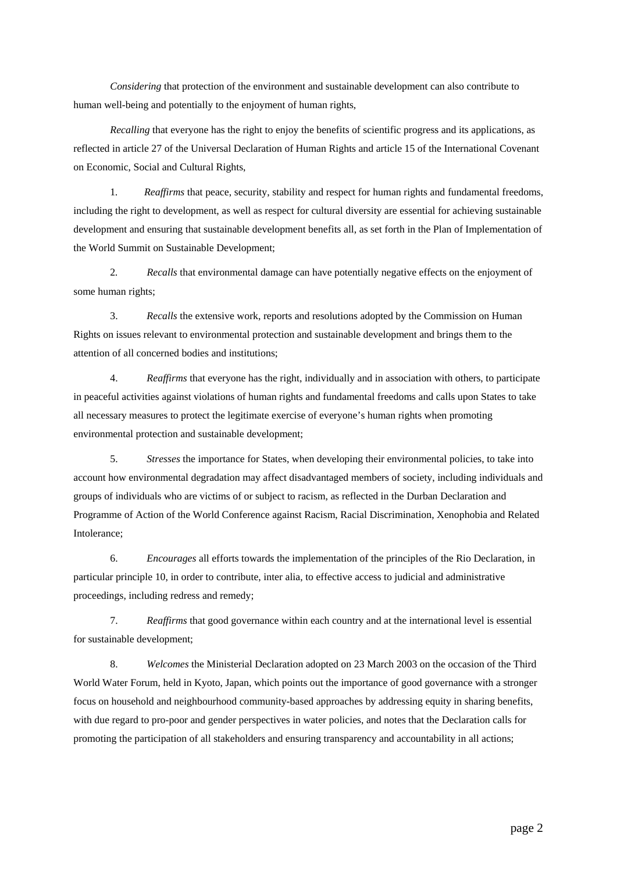*Considering* that protection of the environment and sustainable development can also contribute to human well-being and potentially to the enjoyment of human rights,

 *Recalling* that everyone has the right to enjoy the benefits of scientific progress and its applications, as reflected in article 27 of the Universal Declaration of Human Rights and article 15 of the International Covenant on Economic, Social and Cultural Rights,

1*. Reaffirms* that peace, security, stability and respect for human rights and fundamental freedoms, including the right to development, as well as respect for cultural diversity are essential for achieving sustainable development and ensuring that sustainable development benefits all, as set forth in the Plan of Implementation of the World Summit on Sustainable Development;

2*. Recalls* that environmental damage can have potentially negative effects on the enjoyment of some human rights;

 3. *Recalls* the extensive work, reports and resolutions adopted by the Commission on Human Rights on issues relevant to environmental protection and sustainable development and brings them to the attention of all concerned bodies and institutions;

4. *Reaffirms* that everyone has the right, individually and in association with others, to participate in peaceful activities against violations of human rights and fundamental freedoms and calls upon States to take all necessary measures to protect the legitimate exercise of everyone's human rights when promoting environmental protection and sustainable development;

5. *Stresses* the importance for States, when developing their environmental policies, to take into account how environmental degradation may affect disadvantaged members of society, including individuals and groups of individuals who are victims of or subject to racism, as reflected in the Durban Declaration and Programme of Action of the World Conference against Racism, Racial Discrimination, Xenophobia and Related Intolerance;

6. *Encourages* all efforts towards the implementation of the principles of the Rio Declaration, in particular principle 10, in order to contribute, inter alia, to effective access to judicial and administrative proceedings, including redress and remedy;

7. *Reaffirms* that good governance within each country and at the international level is essential for sustainable development;

8. *Welcomes* the Ministerial Declaration adopted on 23 March 2003 on the occasion of the Third World Water Forum, held in Kyoto, Japan, which points out the importance of good governance with a stronger focus on household and neighbourhood community-based approaches by addressing equity in sharing benefits, with due regard to pro-poor and gender perspectives in water policies, and notes that the Declaration calls for promoting the participation of all stakeholders and ensuring transparency and accountability in all actions;